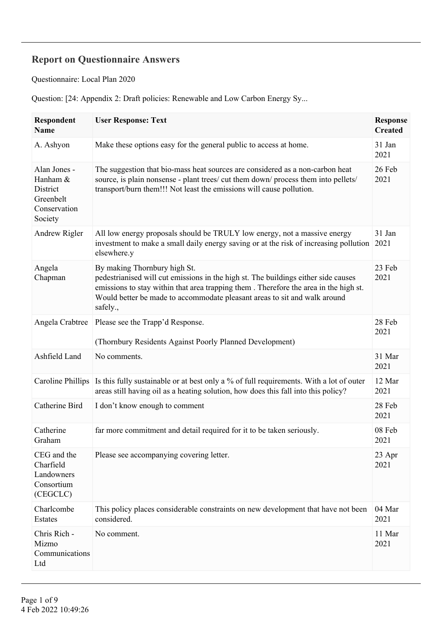## **Report on Questionnaire Answers**

Questionnaire: Local Plan 2020

Question: [24: Appendix 2: Draft policies: Renewable and Low Carbon Energy Sy...

| Respondent<br><b>Name</b>                                                    | <b>User Response: Text</b>                                                                                                                                                                                                                                                                          | <b>Response</b><br><b>Created</b> |
|------------------------------------------------------------------------------|-----------------------------------------------------------------------------------------------------------------------------------------------------------------------------------------------------------------------------------------------------------------------------------------------------|-----------------------------------|
| A. Ashyon                                                                    | Make these options easy for the general public to access at home.                                                                                                                                                                                                                                   | 31 Jan<br>2021                    |
| Alan Jones -<br>Hanham &<br>District<br>Greenbelt<br>Conservation<br>Society | The suggestion that bio-mass heat sources are considered as a non-carbon heat<br>source, is plain nonsense - plant trees/ cut them down/ process them into pellets/<br>transport/burn them!!! Not least the emissions will cause pollution.                                                         | 26 Feb<br>2021                    |
| Andrew Rigler                                                                | All low energy proposals should be TRULY low energy, not a massive energy<br>investment to make a small daily energy saving or at the risk of increasing pollution<br>elsewhere.y                                                                                                                   | 31 Jan<br>2021                    |
| Angela<br>Chapman                                                            | By making Thornbury high St.<br>pedestrianised will cut emissions in the high st. The buildings either side causes<br>emissions to stay within that area trapping them. Therefore the area in the high st.<br>Would better be made to accommodate pleasant areas to sit and walk around<br>safely., | 23 Feb<br>2021                    |
| Angela Crabtree                                                              | Please see the Trapp'd Response.<br>(Thornbury Residents Against Poorly Planned Development)                                                                                                                                                                                                        | 28 Feb<br>2021                    |
| Ashfield Land                                                                | No comments.                                                                                                                                                                                                                                                                                        | 31 Mar<br>2021                    |
| <b>Caroline Phillips</b>                                                     | Is this fully sustainable or at best only a % of full requirements. With a lot of outer<br>areas still having oil as a heating solution, how does this fall into this policy?                                                                                                                       | 12 Mar<br>2021                    |
| Catherine Bird                                                               | I don't know enough to comment                                                                                                                                                                                                                                                                      | 28 Feb<br>2021                    |
| Catherine<br>Graham                                                          | far more commitment and detail required for it to be taken seriously.                                                                                                                                                                                                                               | 08 Feb<br>2021                    |
| CEG and the<br>Charfield<br>Landowners<br>Consortium<br>(CEGCLC)             | Please see accompanying covering letter.                                                                                                                                                                                                                                                            | 23 Apr<br>2021                    |
| Charlcombe<br>Estates                                                        | This policy places considerable constraints on new development that have not been<br>considered.                                                                                                                                                                                                    | 04 Mar<br>2021                    |
| Chris Rich -<br>Mizmo<br>Communications<br>Ltd                               | No comment.                                                                                                                                                                                                                                                                                         | 11 Mar<br>2021                    |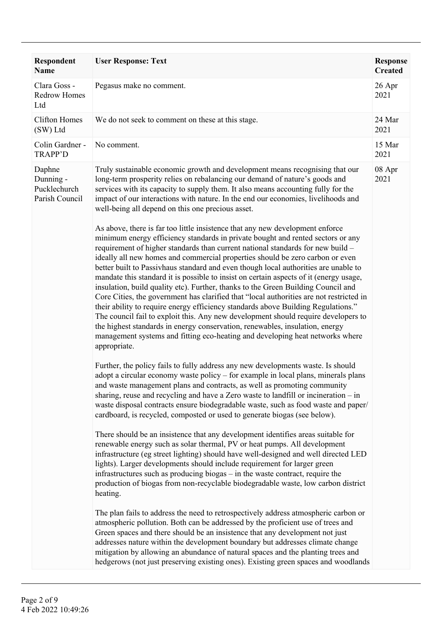| Respondent<br>Name                                    | <b>User Response: Text</b>                                                                                                                                                                                                                                                                                                                                                                                                                                                                                                                                                                                                                                                                                                                                                                                                                                                                                                                                                                                                                                                                                                                                                                                                                                                                                                                                                                                                                                                                                                                                                                                                                                                                                                                                                                                                                                                                                                                                                                                                                                                                                                                                                                                                                                                                                                                                                                                                                                                                                                                                                                                                                                                                                                                                                                                                                                                                                                           | <b>Response</b><br><b>Created</b> |
|-------------------------------------------------------|--------------------------------------------------------------------------------------------------------------------------------------------------------------------------------------------------------------------------------------------------------------------------------------------------------------------------------------------------------------------------------------------------------------------------------------------------------------------------------------------------------------------------------------------------------------------------------------------------------------------------------------------------------------------------------------------------------------------------------------------------------------------------------------------------------------------------------------------------------------------------------------------------------------------------------------------------------------------------------------------------------------------------------------------------------------------------------------------------------------------------------------------------------------------------------------------------------------------------------------------------------------------------------------------------------------------------------------------------------------------------------------------------------------------------------------------------------------------------------------------------------------------------------------------------------------------------------------------------------------------------------------------------------------------------------------------------------------------------------------------------------------------------------------------------------------------------------------------------------------------------------------------------------------------------------------------------------------------------------------------------------------------------------------------------------------------------------------------------------------------------------------------------------------------------------------------------------------------------------------------------------------------------------------------------------------------------------------------------------------------------------------------------------------------------------------------------------------------------------------------------------------------------------------------------------------------------------------------------------------------------------------------------------------------------------------------------------------------------------------------------------------------------------------------------------------------------------------------------------------------------------------------------------------------------------------|-----------------------------------|
| Clara Goss -<br><b>Redrow Homes</b><br>Ltd            | Pegasus make no comment.                                                                                                                                                                                                                                                                                                                                                                                                                                                                                                                                                                                                                                                                                                                                                                                                                                                                                                                                                                                                                                                                                                                                                                                                                                                                                                                                                                                                                                                                                                                                                                                                                                                                                                                                                                                                                                                                                                                                                                                                                                                                                                                                                                                                                                                                                                                                                                                                                                                                                                                                                                                                                                                                                                                                                                                                                                                                                                             | 26 Apr<br>2021                    |
| <b>Clifton Homes</b><br>(SW) Ltd                      | We do not seek to comment on these at this stage.                                                                                                                                                                                                                                                                                                                                                                                                                                                                                                                                                                                                                                                                                                                                                                                                                                                                                                                                                                                                                                                                                                                                                                                                                                                                                                                                                                                                                                                                                                                                                                                                                                                                                                                                                                                                                                                                                                                                                                                                                                                                                                                                                                                                                                                                                                                                                                                                                                                                                                                                                                                                                                                                                                                                                                                                                                                                                    | 24 Mar<br>2021                    |
| Colin Gardner -<br><b>TRAPP'D</b>                     | No comment.                                                                                                                                                                                                                                                                                                                                                                                                                                                                                                                                                                                                                                                                                                                                                                                                                                                                                                                                                                                                                                                                                                                                                                                                                                                                                                                                                                                                                                                                                                                                                                                                                                                                                                                                                                                                                                                                                                                                                                                                                                                                                                                                                                                                                                                                                                                                                                                                                                                                                                                                                                                                                                                                                                                                                                                                                                                                                                                          | 15 Mar<br>2021                    |
| Daphne<br>Dunning -<br>Pucklechurch<br>Parish Council | Truly sustainable economic growth and development means recognising that our<br>long-term prosperity relies on rebalancing our demand of nature's goods and<br>services with its capacity to supply them. It also means accounting fully for the<br>impact of our interactions with nature. In the end our economies, livelihoods and<br>well-being all depend on this one precious asset.<br>As above, there is far too little insistence that any new development enforce<br>minimum energy efficiency standards in private bought and rented sectors or any<br>requirement of higher standards than current national standards for new build -<br>ideally all new homes and commercial properties should be zero carbon or even<br>better built to Passivhaus standard and even though local authorities are unable to<br>mandate this standard it is possible to insist on certain aspects of it (energy usage,<br>insulation, build quality etc). Further, thanks to the Green Building Council and<br>Core Cities, the government has clarified that "local authorities are not restricted in<br>their ability to require energy efficiency standards above Building Regulations."<br>The council fail to exploit this. Any new development should require developers to<br>the highest standards in energy conservation, renewables, insulation, energy<br>management systems and fitting eco-heating and developing heat networks where<br>appropriate.<br>Further, the policy fails to fully address any new developments waste. Is should<br>adopt a circular economy waste policy – for example in local plans, minerals plans<br>and waste management plans and contracts, as well as promoting community<br>sharing, reuse and recycling and have a Zero waste to landfill or incineration - in<br>waste disposal contracts ensure biodegradable waste, such as food waste and paper/<br>cardboard, is recycled, composted or used to generate biogas (see below).<br>There should be an insistence that any development identifies areas suitable for<br>renewable energy such as solar thermal, PV or heat pumps. All development<br>infrastructure (eg street lighting) should have well-designed and well directed LED<br>lights). Larger developments should include requirement for larger green<br>infrastructures such as producing biogas – in the waste contract, require the<br>production of biogas from non-recyclable biodegradable waste, low carbon district<br>heating.<br>The plan fails to address the need to retrospectively address atmospheric carbon or<br>atmospheric pollution. Both can be addressed by the proficient use of trees and<br>Green spaces and there should be an insistence that any development not just<br>addresses nature within the development boundary but addresses climate change<br>mitigation by allowing an abundance of natural spaces and the planting trees and | 08 Apr<br>2021                    |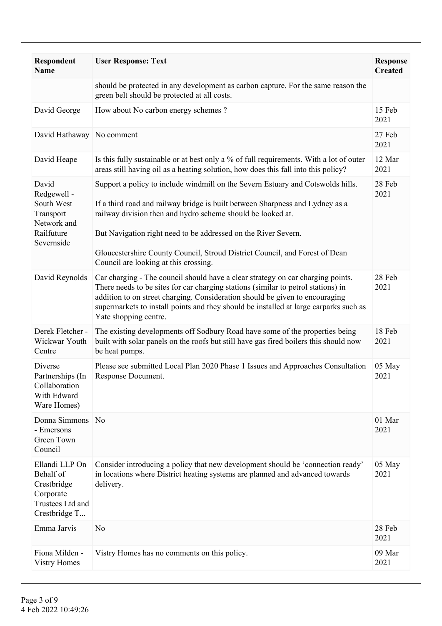| <b>Respondent</b><br><b>Name</b>                                                             | <b>User Response: Text</b>                                                                                                                                                                                                                                                                                                                                                                                                | <b>Response</b><br><b>Created</b> |
|----------------------------------------------------------------------------------------------|---------------------------------------------------------------------------------------------------------------------------------------------------------------------------------------------------------------------------------------------------------------------------------------------------------------------------------------------------------------------------------------------------------------------------|-----------------------------------|
|                                                                                              | should be protected in any development as carbon capture. For the same reason the<br>green belt should be protected at all costs.                                                                                                                                                                                                                                                                                         |                                   |
| David George                                                                                 | How about No carbon energy schemes?                                                                                                                                                                                                                                                                                                                                                                                       | 15 Feb<br>2021                    |
| David Hathaway No comment                                                                    |                                                                                                                                                                                                                                                                                                                                                                                                                           | 27 Feb<br>2021                    |
| David Heape                                                                                  | Is this fully sustainable or at best only a % of full requirements. With a lot of outer<br>areas still having oil as a heating solution, how does this fall into this policy?                                                                                                                                                                                                                                             | 12 Mar<br>2021                    |
| David<br>Redgewell -<br>South West<br>Transport<br>Network and<br>Railfuture<br>Severnside   | Support a policy to include windmill on the Severn Estuary and Cotswolds hills.<br>If a third road and railway bridge is built between Sharpness and Lydney as a<br>railway division then and hydro scheme should be looked at.<br>But Navigation right need to be addressed on the River Severn.<br>Gloucestershire County Council, Stroud District Council, and Forest of Dean<br>Council are looking at this crossing. | 28 Feb<br>2021                    |
| David Reynolds                                                                               | Car charging - The council should have a clear strategy on car charging points.<br>There needs to be sites for car charging stations (similar to petrol stations) in<br>addition to on street charging. Consideration should be given to encouraging<br>supermarkets to install points and they should be installed at large carparks such as<br>Yate shopping centre.                                                    | 28 Feb<br>2021                    |
| Derek Fletcher -<br>Wickwar Youth<br>Centre                                                  | The existing developments off Sodbury Road have some of the properties being<br>built with solar panels on the roofs but still have gas fired boilers this should now<br>be heat pumps.                                                                                                                                                                                                                                   | 18 Feb<br>2021                    |
| Diverse<br>Partnerships (In<br>Collaboration<br>With Edward<br>Ware Homes)                   | Please see submitted Local Plan 2020 Phase 1 Issues and Approaches Consultation<br>Response Document.                                                                                                                                                                                                                                                                                                                     | 05 May<br>2021                    |
| Donna Simmons<br>- Emersons<br>Green Town<br>Council                                         | N <sub>0</sub>                                                                                                                                                                                                                                                                                                                                                                                                            | 01 Mar<br>2021                    |
| Ellandi LLP On<br>Behalf of<br>Crestbridge<br>Corporate<br>Trustees Ltd and<br>Crestbridge T | Consider introducing a policy that new development should be 'connection ready'<br>in locations where District heating systems are planned and advanced towards<br>delivery.                                                                                                                                                                                                                                              | 05 May<br>2021                    |
| Emma Jarvis                                                                                  | N <sub>0</sub>                                                                                                                                                                                                                                                                                                                                                                                                            | 28 Feb<br>2021                    |
| Fiona Milden -<br><b>Vistry Homes</b>                                                        | Vistry Homes has no comments on this policy.                                                                                                                                                                                                                                                                                                                                                                              | 09 Mar<br>2021                    |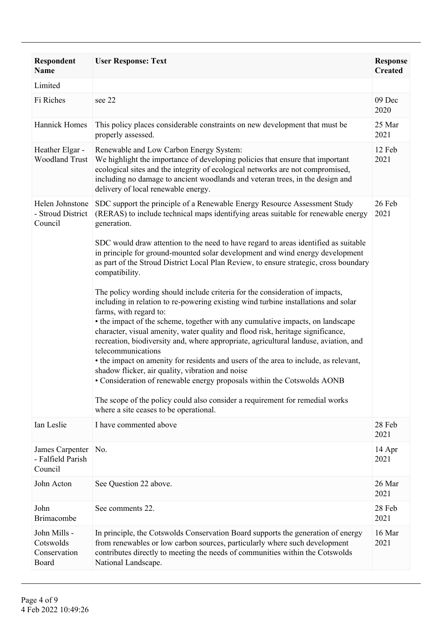| Respondent<br>Name                                 | <b>User Response: Text</b>                                                                                                                                                                                                                                                                                                                                                                                                                                                                                                                                                                                                                                                                             | <b>Response</b><br><b>Created</b> |
|----------------------------------------------------|--------------------------------------------------------------------------------------------------------------------------------------------------------------------------------------------------------------------------------------------------------------------------------------------------------------------------------------------------------------------------------------------------------------------------------------------------------------------------------------------------------------------------------------------------------------------------------------------------------------------------------------------------------------------------------------------------------|-----------------------------------|
| Limited                                            |                                                                                                                                                                                                                                                                                                                                                                                                                                                                                                                                                                                                                                                                                                        |                                   |
| Fi Riches                                          | see 22                                                                                                                                                                                                                                                                                                                                                                                                                                                                                                                                                                                                                                                                                                 | 09 Dec<br>2020                    |
| Hannick Homes                                      | This policy places considerable constraints on new development that must be<br>properly assessed.                                                                                                                                                                                                                                                                                                                                                                                                                                                                                                                                                                                                      | 25 Mar<br>2021                    |
| Heather Elgar -<br><b>Woodland Trust</b>           | Renewable and Low Carbon Energy System:<br>We highlight the importance of developing policies that ensure that important<br>ecological sites and the integrity of ecological networks are not compromised,<br>including no damage to ancient woodlands and veteran trees, in the design and<br>delivery of local renewable energy.                                                                                                                                                                                                                                                                                                                                                                     | 12 Feb<br>2021                    |
| Helen Johnstone<br>- Stroud District<br>Council    | SDC support the principle of a Renewable Energy Resource Assessment Study<br>(RERAS) to include technical maps identifying areas suitable for renewable energy<br>generation.                                                                                                                                                                                                                                                                                                                                                                                                                                                                                                                          | 26 Feb<br>2021                    |
|                                                    | SDC would draw attention to the need to have regard to areas identified as suitable<br>in principle for ground-mounted solar development and wind energy development<br>as part of the Stroud District Local Plan Review, to ensure strategic, cross boundary<br>compatibility.                                                                                                                                                                                                                                                                                                                                                                                                                        |                                   |
|                                                    | The policy wording should include criteria for the consideration of impacts,<br>including in relation to re-powering existing wind turbine installations and solar<br>farms, with regard to:<br>• the impact of the scheme, together with any cumulative impacts, on landscape<br>character, visual amenity, water quality and flood risk, heritage significance,<br>recreation, biodiversity and, where appropriate, agricultural landuse, aviation, and<br>telecommunications<br>• the impact on amenity for residents and users of the area to include, as relevant,<br>shadow flicker, air quality, vibration and noise<br>• Consideration of renewable energy proposals within the Cotswolds AONB |                                   |
|                                                    | The scope of the policy could also consider a requirement for remedial works<br>where a site ceases to be operational.                                                                                                                                                                                                                                                                                                                                                                                                                                                                                                                                                                                 |                                   |
| Ian Leslie                                         | I have commented above                                                                                                                                                                                                                                                                                                                                                                                                                                                                                                                                                                                                                                                                                 | 28 Feb<br>2021                    |
| James Carpenter<br>- Falfield Parish<br>Council    | No.                                                                                                                                                                                                                                                                                                                                                                                                                                                                                                                                                                                                                                                                                                    | 14 Apr<br>2021                    |
| John Acton                                         | See Question 22 above.                                                                                                                                                                                                                                                                                                                                                                                                                                                                                                                                                                                                                                                                                 | 26 Mar<br>2021                    |
| John<br><b>Brimacombe</b>                          | See comments 22.                                                                                                                                                                                                                                                                                                                                                                                                                                                                                                                                                                                                                                                                                       | 28 Feb<br>2021                    |
| John Mills -<br>Cotswolds<br>Conservation<br>Board | In principle, the Cotswolds Conservation Board supports the generation of energy<br>from renewables or low carbon sources, particularly where such development<br>contributes directly to meeting the needs of communities within the Cotswolds<br>National Landscape.                                                                                                                                                                                                                                                                                                                                                                                                                                 | 16 Mar<br>2021                    |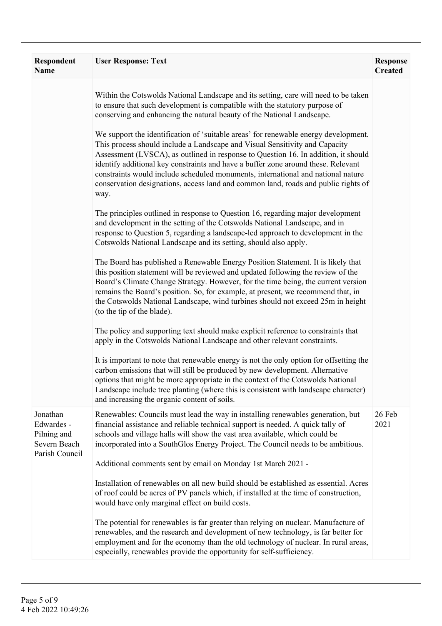| <b>Respondent</b><br><b>Name</b>                                        | <b>User Response: Text</b>                                                                                                                                                                                                                                                                                                                                                                                                                                                                                                      | <b>Response</b><br><b>Created</b> |
|-------------------------------------------------------------------------|---------------------------------------------------------------------------------------------------------------------------------------------------------------------------------------------------------------------------------------------------------------------------------------------------------------------------------------------------------------------------------------------------------------------------------------------------------------------------------------------------------------------------------|-----------------------------------|
|                                                                         | Within the Cotswolds National Landscape and its setting, care will need to be taken<br>to ensure that such development is compatible with the statutory purpose of<br>conserving and enhancing the natural beauty of the National Landscape.                                                                                                                                                                                                                                                                                    |                                   |
|                                                                         | We support the identification of 'suitable areas' for renewable energy development.<br>This process should include a Landscape and Visual Sensitivity and Capacity<br>Assessment (LVSCA), as outlined in response to Question 16. In addition, it should<br>identify additional key constraints and have a buffer zone around these. Relevant<br>constraints would include scheduled monuments, international and national nature<br>conservation designations, access land and common land, roads and public rights of<br>way. |                                   |
|                                                                         | The principles outlined in response to Question 16, regarding major development<br>and development in the setting of the Cotswolds National Landscape, and in<br>response to Question 5, regarding a landscape-led approach to development in the<br>Cotswolds National Landscape and its setting, should also apply.                                                                                                                                                                                                           |                                   |
|                                                                         | The Board has published a Renewable Energy Position Statement. It is likely that<br>this position statement will be reviewed and updated following the review of the<br>Board's Climate Change Strategy. However, for the time being, the current version<br>remains the Board's position. So, for example, at present, we recommend that, in<br>the Cotswolds National Landscape, wind turbines should not exceed 25m in height<br>(to the tip of the blade).                                                                  |                                   |
|                                                                         | The policy and supporting text should make explicit reference to constraints that<br>apply in the Cotswolds National Landscape and other relevant constraints.                                                                                                                                                                                                                                                                                                                                                                  |                                   |
|                                                                         | It is important to note that renewable energy is not the only option for offsetting the<br>carbon emissions that will still be produced by new development. Alternative<br>options that might be more appropriate in the context of the Cotswolds National<br>Landscape include tree planting (where this is consistent with landscape character)<br>and increasing the organic content of soils.                                                                                                                               |                                   |
| Jonathan<br>Edwardes -<br>Pilning and<br>Severn Beach<br>Parish Council | Renewables: Councils must lead the way in installing renewables generation, but<br>financial assistance and reliable technical support is needed. A quick tally of<br>schools and village halls will show the vast area available, which could be<br>incorporated into a SouthGlos Energy Project. The Council needs to be ambitious.                                                                                                                                                                                           | 26 Feb<br>2021                    |
|                                                                         | Additional comments sent by email on Monday 1st March 2021 -                                                                                                                                                                                                                                                                                                                                                                                                                                                                    |                                   |
|                                                                         | Installation of renewables on all new build should be established as essential. Acres<br>of roof could be acres of PV panels which, if installed at the time of construction,<br>would have only marginal effect on build costs.                                                                                                                                                                                                                                                                                                |                                   |
|                                                                         | The potential for renewables is far greater than relying on nuclear. Manufacture of<br>renewables, and the research and development of new technology, is far better for<br>employment and for the economy than the old technology of nuclear. In rural areas,<br>especially, renewables provide the opportunity for self-sufficiency.                                                                                                                                                                                          |                                   |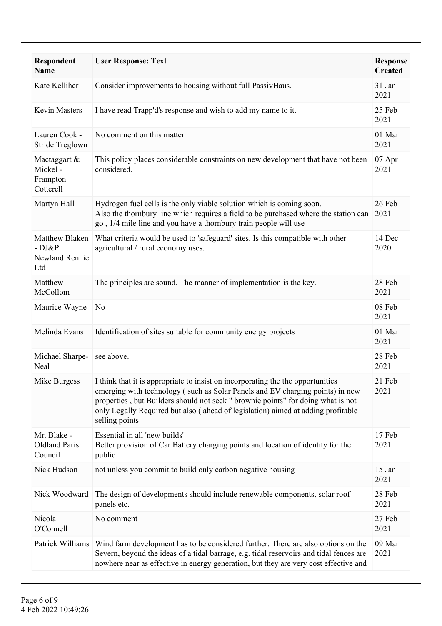| Respondent<br><b>Name</b>                         | <b>User Response: Text</b>                                                                                                                                                                                                                                                                                                                                 | <b>Response</b><br><b>Created</b> |
|---------------------------------------------------|------------------------------------------------------------------------------------------------------------------------------------------------------------------------------------------------------------------------------------------------------------------------------------------------------------------------------------------------------------|-----------------------------------|
| Kate Kelliher                                     | Consider improvements to housing without full PassivHaus.                                                                                                                                                                                                                                                                                                  | 31 Jan<br>2021                    |
| Kevin Masters                                     | I have read Trapp'd's response and wish to add my name to it.                                                                                                                                                                                                                                                                                              | 25 Feb<br>2021                    |
| Lauren Cook -<br>Stride Treglown                  | No comment on this matter                                                                                                                                                                                                                                                                                                                                  | 01 Mar<br>2021                    |
| Mactaggart &<br>Mickel-<br>Frampton<br>Cotterell  | This policy places considerable constraints on new development that have not been<br>considered.                                                                                                                                                                                                                                                           | 07 Apr<br>2021                    |
| Martyn Hall                                       | Hydrogen fuel cells is the only viable solution which is coming soon.<br>Also the thornbury line which requires a field to be purchased where the station can<br>go, 1/4 mile line and you have a thornbury train people will use                                                                                                                          | 26 Feb<br>2021                    |
| Matthew Blaken<br>- DJ&P<br>Newland Rennie<br>Ltd | What criteria would be used to 'safeguard' sites. Is this compatible with other<br>agricultural / rural economy uses.                                                                                                                                                                                                                                      | 14 Dec<br>2020                    |
| Matthew<br>McCollom                               | The principles are sound. The manner of implementation is the key.                                                                                                                                                                                                                                                                                         | 28 Feb<br>2021                    |
| Maurice Wayne                                     | N <sub>0</sub>                                                                                                                                                                                                                                                                                                                                             | 08 Feb<br>2021                    |
| Melinda Evans                                     | Identification of sites suitable for community energy projects                                                                                                                                                                                                                                                                                             | 01 Mar<br>2021                    |
| Michael Sharpe-<br>Neal                           | see above.                                                                                                                                                                                                                                                                                                                                                 | 28 Feb<br>2021                    |
| Mike Burgess                                      | I think that it is appropriate to insist on incorporating the the opportunities<br>emerging with technology (such as Solar Panels and EV charging points) in new<br>properties, but Builders should not seek " brownie points" for doing what is not<br>only Legally Required but also (ahead of legislation) aimed at adding profitable<br>selling points | 21 Feb<br>2021                    |
| Mr. Blake -<br>Oldland Parish<br>Council          | Essential in all 'new builds'<br>Better provision of Car Battery charging points and location of identity for the<br>public                                                                                                                                                                                                                                | 17 Feb<br>2021                    |
| Nick Hudson                                       | not unless you commit to build only carbon negative housing                                                                                                                                                                                                                                                                                                | 15 Jan<br>2021                    |
| Nick Woodward                                     | The design of developments should include renewable components, solar roof<br>panels etc.                                                                                                                                                                                                                                                                  | 28 Feb<br>2021                    |
| Nicola<br>O'Connell                               | No comment                                                                                                                                                                                                                                                                                                                                                 | 27 Feb<br>2021                    |
| Patrick Williams                                  | Wind farm development has to be considered further. There are also options on the<br>Severn, beyond the ideas of a tidal barrage, e.g. tidal reservoirs and tidal fences are<br>nowhere near as effective in energy generation, but they are very cost effective and                                                                                       | 09 Mar<br>2021                    |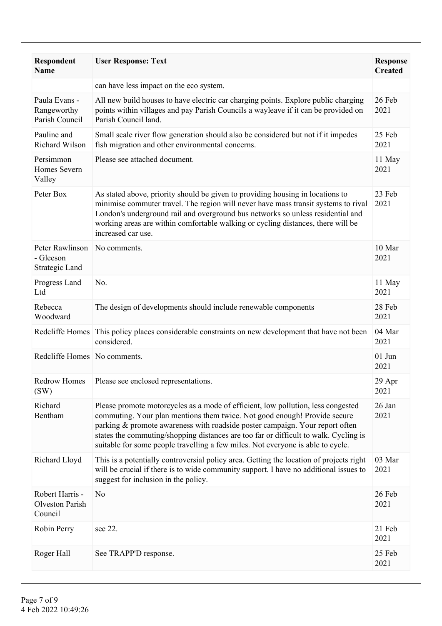| <b>Respondent</b><br><b>Name</b>                     | <b>User Response: Text</b>                                                                                                                                                                                                                                                                                                                                                                                               | <b>Response</b><br><b>Created</b> |
|------------------------------------------------------|--------------------------------------------------------------------------------------------------------------------------------------------------------------------------------------------------------------------------------------------------------------------------------------------------------------------------------------------------------------------------------------------------------------------------|-----------------------------------|
|                                                      | can have less impact on the eco system.                                                                                                                                                                                                                                                                                                                                                                                  |                                   |
| Paula Evans -<br>Rangeworthy<br>Parish Council       | All new build houses to have electric car charging points. Explore public charging<br>points within villages and pay Parish Councils a wayleave if it can be provided on<br>Parish Council land.                                                                                                                                                                                                                         | 26 Feb<br>2021                    |
| Pauline and<br>Richard Wilson                        | Small scale river flow generation should also be considered but not if it impedes<br>fish migration and other environmental concerns.                                                                                                                                                                                                                                                                                    | 25 Feb<br>2021                    |
| Persimmon<br>Homes Severn<br>Valley                  | Please see attached document.                                                                                                                                                                                                                                                                                                                                                                                            | 11 May<br>2021                    |
| Peter Box                                            | As stated above, priority should be given to providing housing in locations to<br>minimise commuter travel. The region will never have mass transit systems to rival<br>London's underground rail and overground bus networks so unless residential and<br>working areas are within comfortable walking or cycling distances, there will be<br>increased car use.                                                        | 23 Feb<br>2021                    |
| Peter Rawlinson<br>- Gleeson<br>Strategic Land       | No comments.                                                                                                                                                                                                                                                                                                                                                                                                             | 10 Mar<br>2021                    |
| Progress Land<br>Ltd                                 | No.                                                                                                                                                                                                                                                                                                                                                                                                                      | 11 May<br>2021                    |
| Rebecca<br>Woodward                                  | The design of developments should include renewable components                                                                                                                                                                                                                                                                                                                                                           | 28 Feb<br>2021                    |
| Redcliffe Homes                                      | This policy places considerable constraints on new development that have not been<br>considered.                                                                                                                                                                                                                                                                                                                         | 04 Mar<br>2021                    |
| Redcliffe Homes No comments.                         |                                                                                                                                                                                                                                                                                                                                                                                                                          | $01$ Jun<br>2021                  |
| <b>Redrow Homes</b><br>(SW)                          | Please see enclosed representations.                                                                                                                                                                                                                                                                                                                                                                                     | 29 Apr<br>2021                    |
| Richard<br>Bentham                                   | Please promote motorcycles as a mode of efficient, low pollution, less congested<br>commuting. Your plan mentions them twice. Not good enough! Provide secure<br>parking & promote awareness with roadside poster campaign. Your report often<br>states the commuting/shopping distances are too far or difficult to walk. Cycling is<br>suitable for some people travelling a few miles. Not everyone is able to cycle. | 26 Jan<br>2021                    |
| Richard Lloyd                                        | This is a potentially controversial policy area. Getting the location of projects right<br>will be crucial if there is to wide community support. I have no additional issues to<br>suggest for inclusion in the policy.                                                                                                                                                                                                 | 03 Mar<br>2021                    |
| Robert Harris -<br><b>Olveston Parish</b><br>Council | N <sub>0</sub>                                                                                                                                                                                                                                                                                                                                                                                                           | 26 Feb<br>2021                    |
| Robin Perry                                          | see 22.                                                                                                                                                                                                                                                                                                                                                                                                                  | 21 Feb<br>2021                    |
| Roger Hall                                           | See TRAPP'D response.                                                                                                                                                                                                                                                                                                                                                                                                    | 25 Feb<br>2021                    |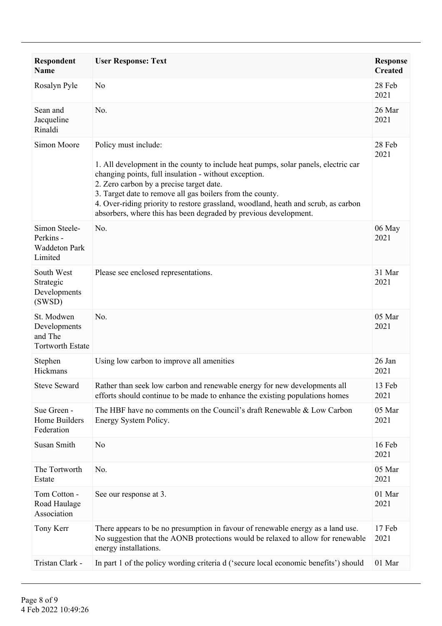| <b>Respondent</b><br><b>Name</b>                                 | <b>User Response: Text</b>                                                                                                                                                                                                                                                                                                                                                                                                             | <b>Response</b><br><b>Created</b> |
|------------------------------------------------------------------|----------------------------------------------------------------------------------------------------------------------------------------------------------------------------------------------------------------------------------------------------------------------------------------------------------------------------------------------------------------------------------------------------------------------------------------|-----------------------------------|
| Rosalyn Pyle                                                     | N <sub>0</sub>                                                                                                                                                                                                                                                                                                                                                                                                                         | 28 Feb<br>2021                    |
| Sean and<br>Jacqueline<br>Rinaldi                                | No.                                                                                                                                                                                                                                                                                                                                                                                                                                    | 26 Mar<br>2021                    |
| Simon Moore                                                      | Policy must include:<br>1. All development in the county to include heat pumps, solar panels, electric car<br>changing points, full insulation - without exception.<br>2. Zero carbon by a precise target date.<br>3. Target date to remove all gas boilers from the county.<br>4. Over-riding priority to restore grassland, woodland, heath and scrub, as carbon<br>absorbers, where this has been degraded by previous development. | 28 Feb<br>2021                    |
| Simon Steele-<br>Perkins -<br><b>Waddeton Park</b><br>Limited    | No.                                                                                                                                                                                                                                                                                                                                                                                                                                    | 06 May<br>2021                    |
| South West<br>Strategic<br>Developments<br>(SWSD)                | Please see enclosed representations.                                                                                                                                                                                                                                                                                                                                                                                                   | 31 Mar<br>2021                    |
| St. Modwen<br>Developments<br>and The<br><b>Tortworth Estate</b> | No.                                                                                                                                                                                                                                                                                                                                                                                                                                    | 05 Mar<br>2021                    |
| Stephen<br>Hickmans                                              | Using low carbon to improve all amenities                                                                                                                                                                                                                                                                                                                                                                                              | 26 Jan<br>2021                    |
| <b>Steve Seward</b>                                              | Rather than seek low carbon and renewable energy for new developments all<br>efforts should continue to be made to enhance the existing populations homes                                                                                                                                                                                                                                                                              | 13 Feb<br>2021                    |
| Sue Green -<br>Home Builders<br>Federation                       | The HBF have no comments on the Council's draft Renewable & Low Carbon<br>Energy System Policy.                                                                                                                                                                                                                                                                                                                                        | 05 Mar<br>2021                    |
| Susan Smith                                                      | N <sub>0</sub>                                                                                                                                                                                                                                                                                                                                                                                                                         | 16 Feb<br>2021                    |
| The Tortworth<br>Estate                                          | No.                                                                                                                                                                                                                                                                                                                                                                                                                                    | 05 Mar<br>2021                    |
| Tom Cotton -<br>Road Haulage<br>Association                      | See our response at 3.                                                                                                                                                                                                                                                                                                                                                                                                                 | 01 Mar<br>2021                    |
| Tony Kerr                                                        | There appears to be no presumption in favour of renewable energy as a land use.<br>No suggestion that the AONB protections would be relaxed to allow for renewable<br>energy installations.                                                                                                                                                                                                                                            | 17 Feb<br>2021                    |
| Tristan Clark -                                                  | In part 1 of the policy wording criteria d ('secure local economic benefits') should                                                                                                                                                                                                                                                                                                                                                   | 01 Mar                            |